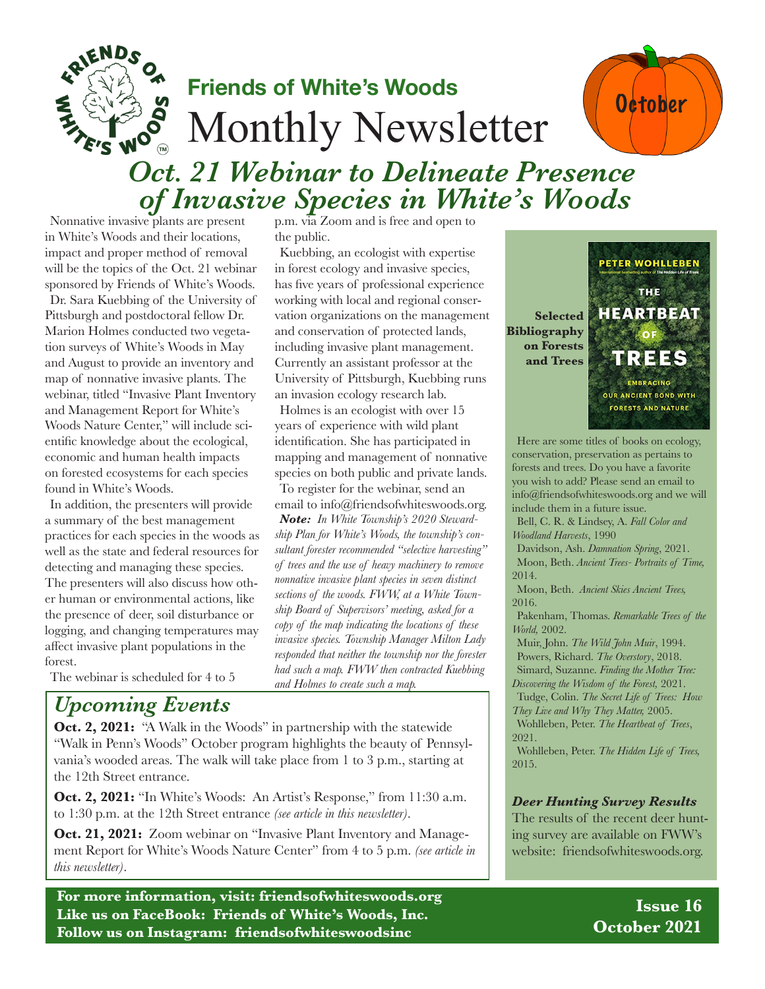

# **Friends of White's Woods** Monthly Newsletter



## *Oct. 21 Webinar to Delineate Presence of Invasive Species in White's Woods*

Nonnative invasive plants are present in White's Woods and their locations, impact and proper method of removal will be the topics of the Oct. 21 webinar sponsored by Friends of White's Woods. Dr. Sara Kuebbing of the University of Pittsburgh and postdoctoral fellow Dr. Marion Holmes conducted two vegetation surveys of White's Woods in May and August to provide an inventory and map of nonnative invasive plants. The webinar, titled "Invasive Plant Inventory and Management Report for White's Woods Nature Center," will include scientific knowledge about the ecological, economic and human health impacts on forested ecosystems for each species found in White's Woods.

In addition, the presenters will provide a summary of the best management practices for each species in the woods as well as the state and federal resources for detecting and managing these species. The presenters will also discuss how other human or environmental actions, like the presence of deer, soil disturbance or logging, and changing temperatures may affect invasive plant populations in the forest.

p.m. via Zoom and is free and open to the public.

Kuebbing, an ecologist with expertise in forest ecology and invasive species, has five years of professional experience working with local and regional conservation organizations on the management and conservation of protected lands, including invasive plant management. Currently an assistant professor at the University of Pittsburgh, Kuebbing runs an invasion ecology research lab.

Holmes is an ecologist with over 15 years of experience with wild plant identification. She has participated in mapping and management of nonnative species on both public and private lands. To register for the webinar, send an

email to info@friendsofwhiteswoods.org.

*Note: In White Township's 2020 Stewardship Plan for White's Woods, the township's consultant forester recommended "selective harvesting" of trees and the use of heavy machinery to remove nonnative invasive plant species in seven distinct sections of the woods. FWW, at a White Township Board of Supervisors' meeting, asked for a copy of the map indicating the locations of these invasive species. Township Manager Milton Lady responded that neither the township nor the forester had such a map. FWW then contracted Kuebbing and Holmes to create such a map.*

The webinar is scheduled for 4 to 5

### *Upcoming Events*

**Oct. 2, 2021:** "A Walk in the Woods" in partnership with the statewide "Walk in Penn's Woods" October program highlights the beauty of Pennsylvania's wooded areas. The walk will take place from 1 to 3 p.m., starting at the 12th Street entrance.

**Oct. 2, 2021:** "In White's Woods: An Artist's Response," from 11:30 a.m. to 1:30 p.m. at the 12th Street entrance *(see article in this newsletter)*.

**Oct. 21, 2021:** Zoom webinar on "Invasive Plant Inventory and Management Report for White's Woods Nature Center" from 4 to 5 p.m. *(see article in this newsletter)*.

**For more information, visit: friendsofwhiteswoods.org Like us on FaceBook: Friends of White's Woods, Inc. Follow us on Instagram: friendsofwhiteswoodsinc**



Here are some titles of books on ecology, conservation, preservation as pertains to forests and trees. Do you have a favorite you wish to add? Please send an email to info@friendsofwhiteswoods.org and we will include them in a future issue.

Bell, C. R. & Lindsey, A. *Fall Color and Woodland Harvests*, 1990

Davidson, Ash. *Damnation Spring*, 2021. Moon, Beth. *Ancient Trees- Portraits of Time,*  2014.

Moon, Beth. *Ancient Skies Ancient Trees,*  2016.

Pakenham, Thomas. *Remarkable Trees of the World,* 2002.

Muir, John. *The Wild John Muir*, 1994. Powers, Richard. *The Overstory*, 2018. Simard, Suzanne. *Finding the Mother Tree: Discovering the Wisdom of the Forest,* 2021.

Tudge, Colin. *The Secret Life of Trees: How They Live and Why They Matter,* 2005. Wohlleben, Peter. *The Heartbeat of Trees*, 2021.

Wohlleben, Peter. *The Hidden Life of Trees,* 2015.

#### *Deer Hunting Survey Results*

The results of the recent deer hunting survey are available on FWW's website: friendsofwhiteswoods.org.

> **Issue 16 October 2021**